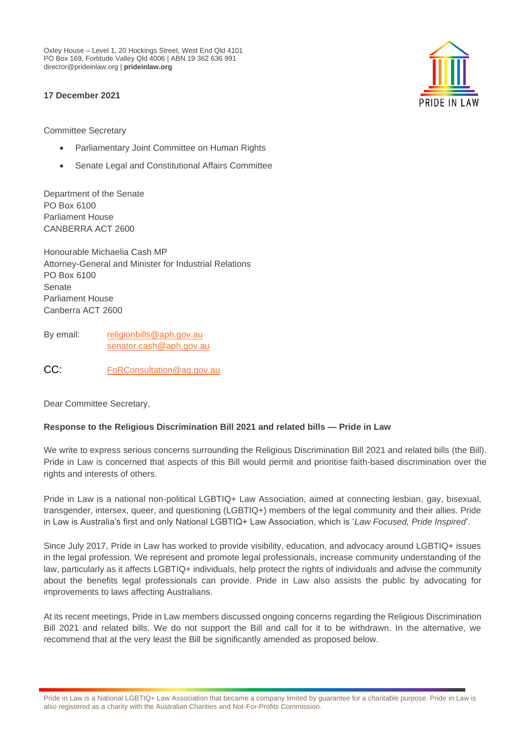Oxley House – Level 1, 20 Hockings Street, West End Qld 4101 PO Box 169, Fortitude Valley Qld 4006 | ABN 19 362 636 991 director@prideinlaw.org | **prideinlaw.org**

# **17 December 2021**

Committee Secretary

- Parliamentary Joint Committee on Human Rights
- Senate Legal and Constitutional Affairs Committee

Department of the Senate PO Box 6100 Parliament House CANBERRA ACT 2600

Honourable Michaelia Cash MP Attorney-General and Minister for Industrial Relations PO Box 6100 Senate Parliament House Canberra ACT 2600

By email: [religionbills@aph.gov.au](mailto:religionbills@aph.gov.au) [senator.cash@aph.gov.au](mailto:senator.cash@aph.gov.au)

CC: FoRConsultation@ag.gov.au

Dear Committee Secretary,

## **Response to the Religious Discrimination Bill 2021 and related bills — Pride in Law**

We write to express serious concerns surrounding the Religious Discrimination Bill 2021 and related bills (the Bill). Pride in Law is concerned that aspects of this Bill would permit and prioritise faith-based discrimination over the rights and interests of others.

Pride in Law is a national non-political LGBTIQ+ Law Association, aimed at connecting lesbian, gay, bisexual, transgender, intersex, queer, and questioning (LGBTIQ+) members of the legal community and their allies. Pride in Law is Australia's first and only National LGBTIQ+ Law Association, which is '*Law Focused, Pride Inspired*'.

Since July 2017, Pride in Law has worked to provide visibility, education, and advocacy around LGBTIQ+ issues in the legal profession. We represent and promote legal professionals, increase community understanding of the law, particularly as it affects LGBTIQ+ individuals, help protect the rights of individuals and advise the community about the benefits legal professionals can provide. Pride in Law also assists the public by advocating for improvements to laws affecting Australians.

At its recent meetings, Pride in Law members discussed ongoing concerns regarding the Religious Discrimination Bill 2021 and related bills. We do not support the Bill and call for it to be withdrawn. In the alternative, we recommend that at the very least the Bill be significantly amended as proposed below.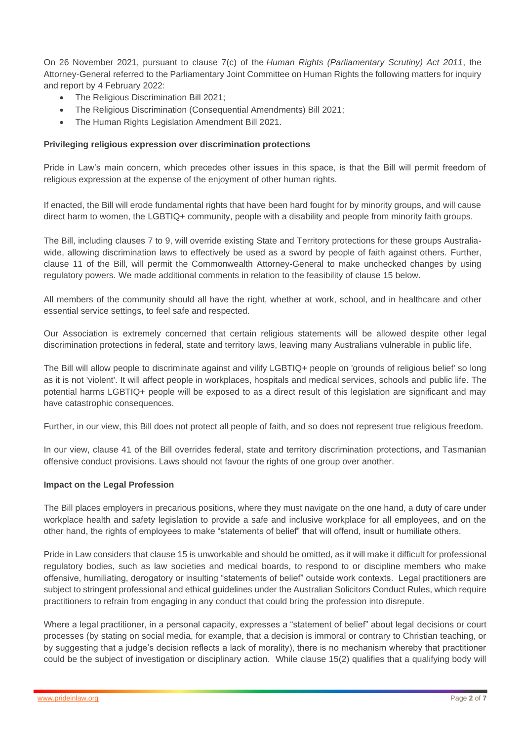On 26 November 2021, pursuant to clause 7(c) of the *Human Rights (Parliamentary Scrutiny) Act 2011*, the Attorney-General [referred](https://www.aph.gov.au/-/media/Committees/Senate/committee/humanrights_ctte/inquiries/Religious_Discrimination/Referral_letter_from_AG_241121.pdf?la=en&hash=F6479A71BE7172220B64FDBB7C1AFFCCDCDB8C28) to the Parliamentary Joint Committee on Human Rights the following matters for inquiry and report by 4 February 2022:

- The [Religious Discrimination Bill 2021;](https://www.aph.gov.au/Parliamentary_Business/Bills_Legislation/Bills_Search_Results/Result?bId=r6821)
- The [Religious Discrimination \(Consequential Amendments\) Bill 2021;](https://www.aph.gov.au/Parliamentary_Business/Bills_Legislation/Bills_Search_Results/Result?bId=r6819)
- The [Human Rights Legislation Amendment Bill 2021.](https://www.aph.gov.au/Parliamentary_Business/Bills_Legislation/Bills_Search_Results/Result?bId=r6820)

#### **Privileging religious expression over discrimination protections**

Pride in Law's main concern, which precedes other issues in this space, is that the Bill will permit freedom of religious expression at the expense of the enjoyment of other human rights.

If enacted, the Bill will erode fundamental rights that have been hard fought for by minority groups, and will cause direct harm to women, the LGBTIQ+ community, people with a disability and people from minority faith groups.

The Bill, including clauses 7 to 9, will override existing State and Territory protections for these groups Australiawide, allowing discrimination laws to effectively be used as a sword by people of faith against others. Further, clause 11 of the Bill, will permit the Commonwealth Attorney-General to make unchecked changes by using regulatory powers. We made additional comments in relation to the feasibility of clause 15 below.

All members of the community should all have the right, whether at work, school, and in healthcare and other essential service settings, to feel safe and respected.

Our Association is extremely concerned that certain religious statements will be allowed despite other legal discrimination protections in federal, state and territory laws, leaving many Australians vulnerable in public life.

The Bill will allow people to discriminate against and vilify LGBTIQ+ people on 'grounds of religious belief' so long as it is not 'violent'. It will affect people in workplaces, hospitals and medical services, schools and public life. The potential harms LGBTIQ+ people will be exposed to as a direct result of this legislation are significant and may have catastrophic consequences.

Further, in our view, this Bill does not protect all people of faith, and so does not represent true religious freedom.

In our view, clause 41 of the Bill overrides federal, state and territory discrimination protections, and Tasmanian offensive conduct provisions. Laws should not favour the rights of one group over another.

#### **Impact on the Legal Profession**

The Bill places employers in precarious positions, where they must navigate on the one hand, a duty of care under workplace health and safety legislation to provide a safe and inclusive workplace for all employees, and on the other hand, the rights of employees to make "statements of belief" that will offend, insult or humiliate others.

Pride in Law considers that clause 15 is unworkable and should be omitted, as it will make it difficult for professional regulatory bodies, such as law societies and medical boards, to respond to or discipline members who make offensive, humiliating, derogatory or insulting "statements of belief" outside work contexts. Legal practitioners are subject to stringent professional and ethical guidelines under the Australian Solicitors Conduct Rules, which require practitioners to refrain from engaging in any conduct that could bring the profession into disrepute.

Where a legal practitioner, in a personal capacity, expresses a "statement of belief" about legal decisions or court processes (by stating on social media, for example, that a decision is immoral or contrary to Christian teaching, or by suggesting that a judge's decision reflects a lack of morality), there is no mechanism whereby that practitioner could be the subject of investigation or disciplinary action. While clause 15(2) qualifies that a qualifying body will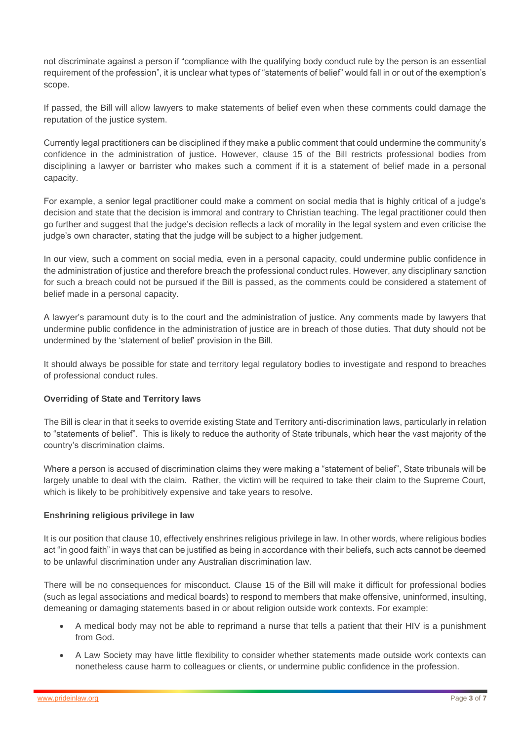not discriminate against a person if "compliance with the qualifying body conduct rule by the person is an essential requirement of the profession", it is unclear what types of "statements of belief" would fall in or out of the exemption's scope.

If passed, the Bill will allow lawyers to make statements of belief even when these comments could damage the reputation of the justice system.

Currently legal practitioners can be disciplined if they make a public comment that could undermine the community's confidence in the administration of justice. However, clause 15 of the Bill restricts professional bodies from disciplining a lawyer or barrister who makes such a comment if it is a statement of belief made in a personal capacity.

For example, a senior legal practitioner could make a comment on social media that is highly critical of a judge's decision and state that the decision is immoral and contrary to Christian teaching. The legal practitioner could then go further and suggest that the judge's decision reflects a lack of morality in the legal system and even criticise the judge's own character, stating that the judge will be subject to a higher judgement.

In our view, such a comment on social media, even in a personal capacity, could undermine public confidence in the administration of justice and therefore breach the professional conduct rules. However, any disciplinary sanction for such a breach could not be pursued if the Bill is passed, as the comments could be considered a statement of belief made in a personal capacity.

A lawyer's paramount duty is to the court and the administration of justice. Any comments made by lawyers that undermine public confidence in the administration of justice are in breach of those duties. That duty should not be undermined by the 'statement of belief' provision in the Bill.

It should always be possible for state and territory legal regulatory bodies to investigate and respond to breaches of professional conduct rules.

## **Overriding of State and Territory laws**

The Bill is clear in that it seeks to override existing State and Territory anti-discrimination laws, particularly in relation to "statements of belief". This is likely to reduce the authority of State tribunals, which hear the vast majority of the country's discrimination claims.

Where a person is accused of discrimination claims they were making a "statement of belief", State tribunals will be largely unable to deal with the claim. Rather, the victim will be required to take their claim to the Supreme Court, which is likely to be prohibitively expensive and take years to resolve.

## **Enshrining religious privilege in law**

It is our position that clause 10, effectively enshrines religious privilege in law. In other words, where religious bodies act "in good faith" in ways that can be justified as being in accordance with their beliefs, such acts cannot be deemed to be unlawful discrimination under any Australian discrimination law.

There will be no consequences for misconduct. Clause 15 of the Bill will make it difficult for professional bodies (such as legal associations and medical boards) to respond to members that make offensive, uninformed, insulting, demeaning or damaging statements based in or about religion outside work contexts. For example:

- A medical body may not be able to reprimand a nurse that tells a patient that their HIV is a punishment from God.
- A Law Society may have little flexibility to consider whether statements made outside work contexts can nonetheless cause harm to colleagues or clients, or undermine public confidence in the profession.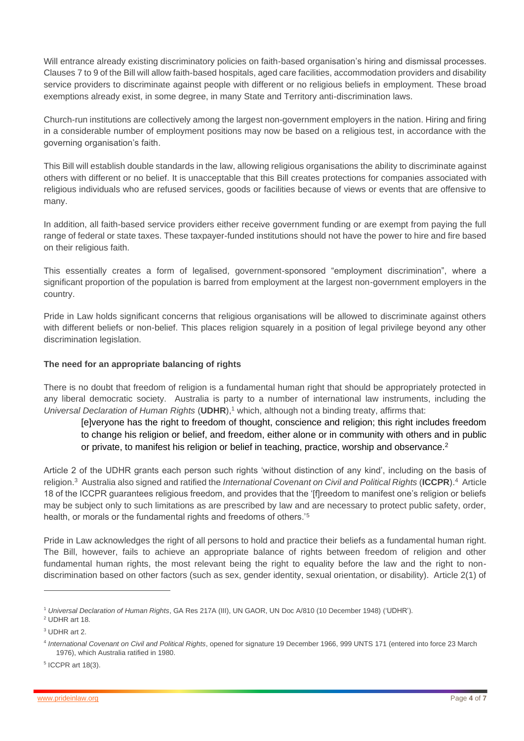Will entrance already existing discriminatory policies on faith-based organisation's hiring and dismissal processes. Clauses 7 to 9 of the Bill will allow faith-based hospitals, aged care facilities, accommodation providers and disability service providers to discriminate against people with different or no religious beliefs in employment. These broad exemptions already exist, in some degree, in many State and Territory anti-discrimination laws.

Church-run institutions are collectively among the largest non-government employers in the nation. Hiring and firing in a considerable number of employment positions may now be based on a religious test, in accordance with the governing organisation's faith.

This Bill will establish double standards in the law, allowing religious organisations the ability to discriminate against others with different or no belief. It is unacceptable that this Bill creates protections for companies associated with religious individuals who are refused services, goods or facilities because of views or events that are offensive to many.

In addition, all faith-based service providers either receive government funding or are exempt from paying the full range of federal or state taxes. These taxpayer-funded institutions should not have the power to hire and fire based on their religious faith.

This essentially creates a form of legalised, government-sponsored "employment discrimination", where a significant proportion of the population is barred from employment at the largest non-government employers in the country.

Pride in Law holds significant concerns that religious organisations will be allowed to discriminate against others with different beliefs or non-belief. This places religion squarely in a position of legal privilege beyond any other discrimination legislation.

## **The need for an appropriate balancing of rights**

There is no doubt that freedom of religion is a fundamental human right that should be appropriately protected in any liberal democratic society. Australia is party to a number of international law instruments, including the *Universal Declaration of Human Rights* (UDHR),<sup>1</sup> which, although not a binding treaty, affirms that:

[e]veryone has the right to freedom of thought, conscience and religion; this right includes freedom to change his religion or belief, and freedom, either alone or in community with others and in public or private, to manifest his religion or belief in teaching, practice, worship and observance.<sup>2</sup>

Article 2 of the UDHR grants each person such rights 'without distinction of any kind', including on the basis of religion.<sup>3</sup> Australia also signed and ratified the *International Covenant on Civil and Political Rights* (**ICCPR**).<sup>4</sup> Article 18 of the ICCPR guarantees religious freedom, and provides that the '[f]reedom to manifest one's religion or beliefs may be subject only to such limitations as are prescribed by law and are necessary to protect public safety, order, health, or morals or the fundamental rights and freedoms of others.<sup>'5</sup>

Pride in Law acknowledges the right of all persons to hold and practice their beliefs as a fundamental human right. The Bill, however, fails to achieve an appropriate balance of rights between freedom of religion and other fundamental human rights, the most relevant being the right to equality before the law and the right to nondiscrimination based on other factors (such as sex, gender identity, sexual orientation, or disability). Article 2(1) of

5 ICCPR art 18(3).

<sup>1</sup> *Universal Declaration of Human Rights*, GA Res 217A (III), UN GAOR, UN Doc A/810 (10 December 1948) ('UDHR').

<sup>2</sup> UDHR art 18.

<sup>3</sup> UDHR art 2.

<sup>4</sup> *International Covenant on Civil and Political Rights*, opened for signature 19 December 1966, 999 UNTS 171 (entered into force 23 March 1976), which Australia ratified in 1980.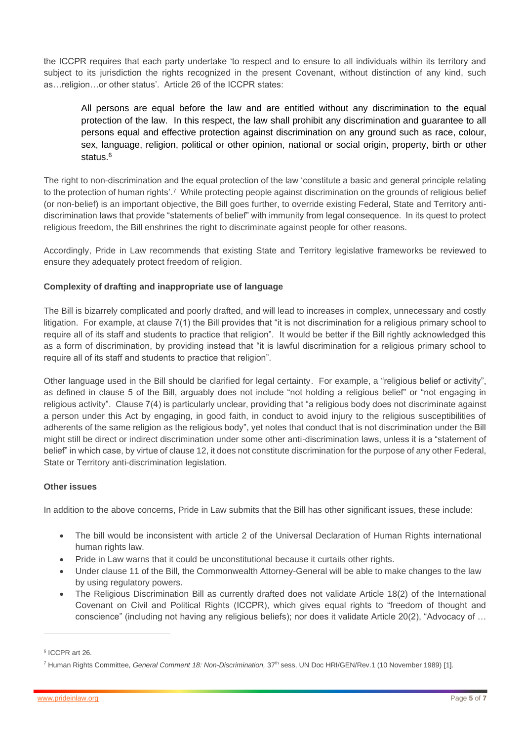the ICCPR requires that each party undertake 'to respect and to ensure to all individuals within its territory and subject to its jurisdiction the rights recognized in the present Covenant, without distinction of any kind, such as…religion…or other status'. Article 26 of the ICCPR states:

All persons are equal before the law and are entitled without any discrimination to the equal protection of the law. In this respect, the law shall prohibit any discrimination and guarantee to all persons equal and effective protection against discrimination on any ground such as race, colour, sex, language, religion, political or other opinion, national or social origin, property, birth or other status $6$ 

The right to non-discrimination and the equal protection of the law 'constitute a basic and general principle relating to the protection of human rights'.<sup>7</sup> While protecting people against discrimination on the grounds of religious belief (or non-belief) is an important objective, the Bill goes further, to override existing Federal, State and Territory antidiscrimination laws that provide "statements of belief" with immunity from legal consequence. In its quest to protect religious freedom, the Bill enshrines the right to discriminate against people for other reasons.

Accordingly, Pride in Law recommends that existing State and Territory legislative frameworks be reviewed to ensure they adequately protect freedom of religion.

# **Complexity of drafting and inappropriate use of language**

The Bill is bizarrely complicated and poorly drafted, and will lead to increases in complex, unnecessary and costly litigation. For example, at clause 7(1) the Bill provides that "it is not discrimination for a religious primary school to require all of its staff and students to practice that religion". It would be better if the Bill rightly acknowledged this as a form of discrimination, by providing instead that "it is lawful discrimination for a religious primary school to require all of its staff and students to practice that religion".

Other language used in the Bill should be clarified for legal certainty. For example, a "religious belief or activity", as defined in clause 5 of the Bill, arguably does not include "not holding a religious belief" or "not engaging in religious activity". Clause 7(4) is particularly unclear, providing that "a religious body does not discriminate against a person under this Act by engaging, in good faith, in conduct to avoid injury to the religious susceptibilities of adherents of the same religion as the religious body", yet notes that conduct that is not discrimination under the Bill might still be direct or indirect discrimination under some other anti-discrimination laws, unless it is a "statement of belief" in which case, by virtue of clause 12, it does not constitute discrimination for the purpose of any other Federal, State or Territory anti-discrimination legislation.

## **Other issues**

In addition to the above concerns, Pride in Law submits that the Bill has other significant issues, these include:

- The bill would be inconsistent with article 2 of the Universal Declaration of Human Rights international human rights law.
- Pride in Law warns that it could be unconstitutional because it curtails other rights.
- Under clause 11 of the Bill, the Commonwealth Attorney-General will be able to make changes to the law by using regulatory powers.
- The Religious Discrimination Bill as currently drafted does not validate Article 18(2) of the International Covenant on Civil and Political Rights (ICCPR), which gives equal rights to "freedom of thought and conscience" (including not having any religious beliefs); nor does it validate Article 20(2), "Advocacy of …

<sup>6</sup> ICCPR art 26.

<sup>7</sup> Human Rights Committee, *General Comment 18: Non-Discrimination,* 37th sess, UN Doc HRI/GEN/Rev.1 (10 November 1989) [1].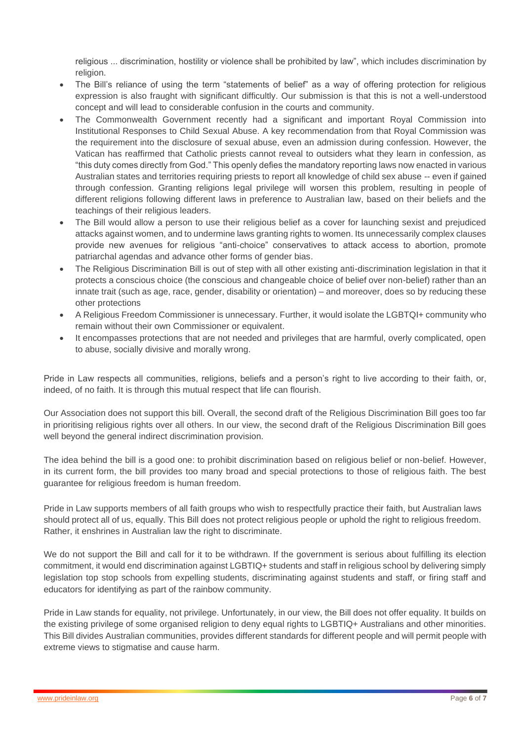religious ... discrimination, hostility or violence shall be prohibited by law", which includes discrimination by religion.

- The Bill's reliance of using the term "statements of belief" as a way of offering protection for religious expression is also fraught with significant difficultly. Our submission is that this is not a well-understood concept and will lead to considerable confusion in the courts and community.
- The Commonwealth Government recently had a significant and important Royal Commission into Institutional Responses to Child Sexual Abuse. A key recommendation from that Royal Commission was the requirement into the disclosure of sexual abuse, even an admission during confession. However, the Vatican has reaffirmed that Catholic priests cannot reveal to outsiders what they learn in confession, as "this duty comes directly from God." This openly defies the mandatory reporting laws now enacted in various Australian states and territories requiring priests to report all knowledge of child sex abuse -- even if gained through confession. Granting religions legal privilege will worsen this problem, resulting in people of different religions following different laws in preference to Australian law, based on their beliefs and the teachings of their religious leaders.
- The Bill would allow a person to use their religious belief as a cover for launching sexist and prejudiced attacks against women, and to undermine laws granting rights to women. Its unnecessarily complex clauses provide new avenues for religious "anti-choice" conservatives to attack access to abortion, promote patriarchal agendas and advance other forms of gender bias.
- The Religious Discrimination Bill is out of step with all other existing anti-discrimination legislation in that it protects a conscious choice (the conscious and changeable choice of belief over non-belief) rather than an innate trait (such as age, race, gender, disability or orientation) – and moreover, does so by reducing these other protections
- A Religious Freedom Commissioner is unnecessary. Further, it would isolate the LGBTQI+ community who remain without their own Commissioner or equivalent.
- It encompasses protections that are not needed and privileges that are harmful, overly complicated, open to abuse, socially divisive and morally wrong.

Pride in Law respects all communities, religions, beliefs and a person's right to live according to their faith, or, indeed, of no faith. It is through this mutual respect that life can flourish.

Our Association does not support this bill. Overall, the second draft of the Religious Discrimination Bill goes too far in prioritising religious rights over all others. In our view, the second draft of the Religious Discrimination Bill goes well beyond the general indirect discrimination provision.

The idea behind the bill is a good one: to prohibit discrimination based on religious belief or non-belief. However, in its current form, the bill provides too many broad and special protections to those of religious faith. The best guarantee for religious freedom is human freedom.

Pride in Law supports members of all faith groups who wish to respectfully practice their faith, but Australian laws should protect all of us, equally. This Bill does not protect religious people or uphold the right to religious freedom. Rather, it enshrines in Australian law the right to discriminate.

We do not support the Bill and call for it to be withdrawn. If the government is serious about fulfilling its election commitment, it would end discrimination against LGBTIQ+ students and staff in religious school by delivering simply legislation top stop schools from expelling students, discriminating against students and staff, or firing staff and educators for identifying as part of the rainbow community.

Pride in Law stands for equality, not privilege. Unfortunately, in our view, the Bill does not offer equality. It builds on the existing privilege of some organised religion to deny equal rights to LGBTIQ+ Australians and other minorities. This Bill divides Australian communities, provides different standards for different people and will permit people with extreme views to stigmatise and cause harm.